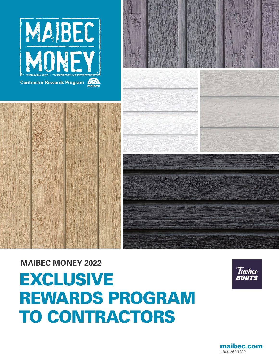



# EXCLUSIVE REWARDS PROGRAM TO CONTRACTORS **MAIBEC MONEY 2022**